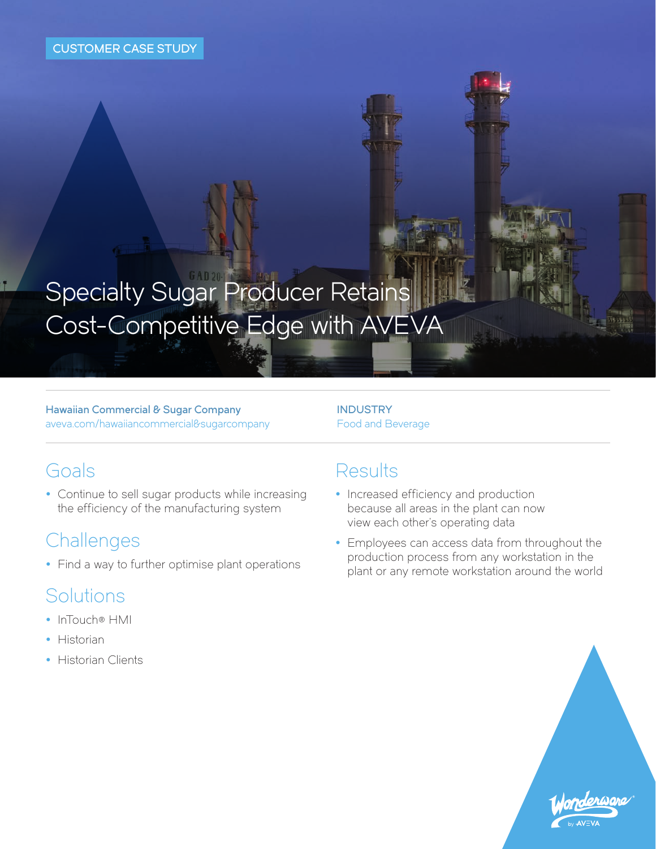# Specialty Sugar Producer Retains Cost-Competitive Edge with AVEVA

Hawaiian Commercial & Sugar Company [aveva.com/hawaiiancommercial&sugarcompany](https://sw.aveva.com/success-stories/software-solution-helps-specialty-sugar-producer-retain-cost-competitive-edge/) **INDUSTRY** Food and Beverage

#### Goals

• Continue to sell sugar products while increasing the efficiency of the manufacturing system

### **Challenges**

• Find a way to further optimise plant operations

## Solutions

- [InTouch® HMI](https://sw.aveva.com/monitor-and-control/hmi-supervisory-and-control/intouch-hmi-standard-edition)
- $\bullet$  [Historia](https://sw.aveva.com/monitor-and-control/industrial-information-management/historian)n
- [Historian Clients](https://sw.aveva.com/monitor-and-control/industrial-information-management/historian-client)

#### Results

- Increased efficiency and production because all areas in the plant can now view each other's operating data
- Employees can access data from throughout the production process from any workstation in the plant or any remote workstation around the world

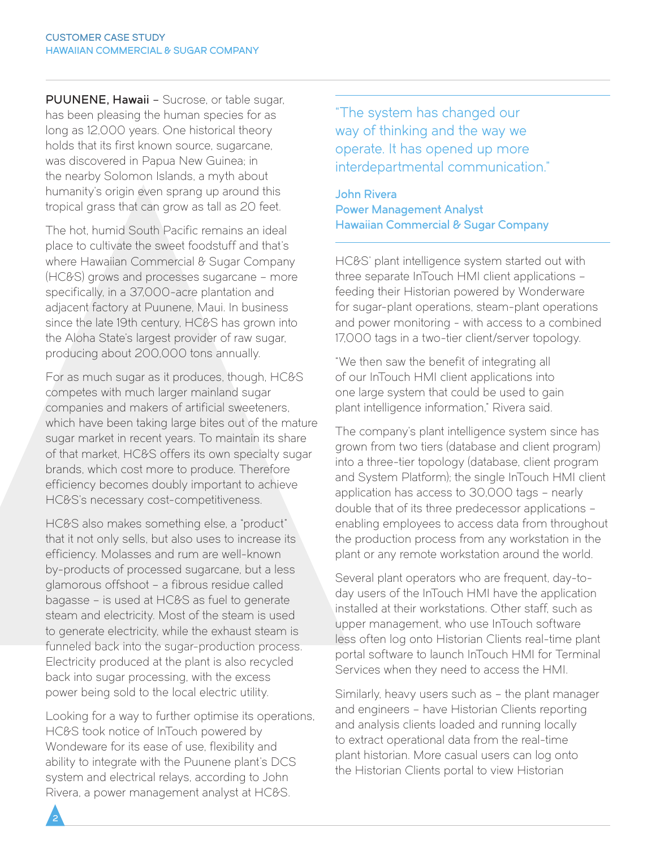PUUNENE, Hawaii – Sucrose, or table sugar, has been pleasing the human species for as long as 12,000 years. One historical theory holds that its first known source, sugarcane, was discovered in Papua New Guinea; in the nearby Solomon Islands, a myth about humanity's origin even sprang up around this tropical grass that can grow as tall as 20 feet.

The hot, humid South Pacific remains an ideal place to cultivate the sweet foodstuff and that's where Hawaiian Commercial & Sugar Company (HC&S) grows and processes sugarcane – more specifically, in a 37,000-acre plantation and adjacent factory at Puunene, Maui. In business since the late 19th century, HC&S has grown into the Aloha State's largest provider of raw sugar, producing about 200,000 tons annually.

For as much sugar as it produces, though, HC&S competes with much larger mainland sugar companies and makers of artificial sweeteners, which have been taking large bites out of the mature sugar market in recent years. To maintain its share of that market, HC&S offers its own specialty sugar brands, which cost more to produce. Therefore efficiency becomes doubly important to achieve HC&S's necessary cost-competitiveness.

HC&S also makes something else, a "product" that it not only sells, but also uses to increase its efficiency. Molasses and rum are well-known by-products of processed sugarcane, but a less glamorous offshoot – a fibrous residue called bagasse – is used at HC&S as fuel to generate steam and electricity. Most of the steam is used to generate electricity, while the exhaust steam is funneled back into the sugar-production process. Electricity produced at the plant is also recycled back into sugar processing, with the excess power being sold to the local electric utility.

Looking for a way to further optimise its operations, HC&S took notice of InTouch powered by Wondeware for its ease of use, flexibility and ability to integrate with the Puunene plant's DCS system and electrical relays, according to John Rivera, a power management analyst at HC&S.

"The system has changed our way of thinking and the way we operate. It has opened up more interdepartmental communication."

John Rivera Power Management Analyst Hawaiian Commercial & Sugar Company

HC&S' plant intelligence system started out with three separate InTouch HMI client applications – feeding their Historian powered by Wonderware for sugar-plant operations, steam-plant operations and power monitoring - with access to a combined 17,000 tags in a two-tier client/server topology.

"We then saw the benefit of integrating all of our InTouch HMI client applications into one large system that could be used to gain plant intelligence information," Rivera said.

The company's plant intelligence system since has grown from two tiers (database and client program) into a three-tier topology (database, client program and System Platform); the single InTouch HMI client application has access to 30,000 tags – nearly double that of its three predecessor applications – enabling employees to access data from throughout the production process from any workstation in the plant or any remote workstation around the world.

Several plant operators who are frequent, day-today users of the InTouch HMI have the application installed at their workstations. Other staff, such as upper management, who use InTouch software less often log onto Historian Clients real-time plant portal software to launch InTouch HMI for Terminal Services when they need to access the HMI.

Similarly, heavy users such as – the plant manager and engineers – have Historian Clients reporting and analysis clients loaded and running locally to extract operational data from the real-time plant historian. More casual users can log onto the Historian Clients portal to view Historian